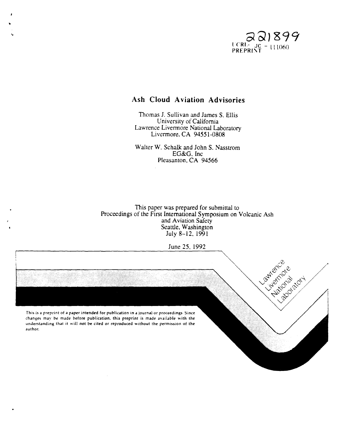

# **Ash Cloud Aviation Advisories**

Thomas 1. Sullivan and James S. Ellis University of California Lawrence Livennore National Laboratory Livermore, CA 94551-0808

Walter W. Schalk and John S. Nasstrom EG&G. Inc Pleasanton. CA 94566

This paper was prepared for submittal to Proceedings of the First International Symposium on Volcanic Ash and Aviation Safety Seattle, Washington July 8-12. 1991

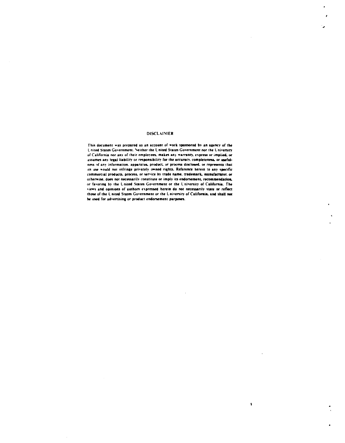#### **DISCLAIMER**

 $\ddot{\phantom{0}}$ 

This document was prepared as an account of work sponsored by an agency of the United States Government. Neither the United States Government nor the University of California nor any of their employees, makes any warranty, express or implied, or assumes any legal liability or responsibility for the accuracy, completeness, or usefulness of any information. apparatus, product, or process disclosed, or represents that its use would not infringe privately owned rights. Reference herein to any specific commercial products, process, or service by trade name, trademark, manufacturer, or otherwise, does not necessarily constitute or imply its endorsement, recommendation, or favoring by the United States Government or the University of California. The views and opinions of authors expressed herein do not necessarily state or reflect those of the United States Government or the University of California, and shall not be used for advertising or product endorsement purposes.

 $\pmb{\mathsf{v}}$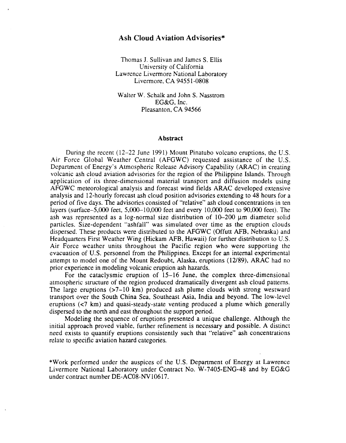# **Ash Cloud Aviation Advisories\***

Thomas J. Sullivan and James S. Ellis University of California Lawrence Livermore National Laboratory Livermore, CA 94551-0808

Walter W. Schalk and John S. Nasstrom EG&G, Inc. Pleasanton, CA 94566

#### **Abstract**

During the recent (12-22 June 1991) Mount Pinatubo volcano eruptions, the U.S. Air Force Global Weather Central (AFGWC) requested assistance of the U.S. Department of Energy's Atmospheric Release Advisory Capability (ARAC) in creating volcanic ash cloud aviation advisories for the region of the Philippine Islands. Through application of its three-dimensional material transport and diffusion models using AFGWC meteorological analysis and forecast wind fields ARAC developed extensive analysis and 12-hourly forecast ash cloud position advisories extending to 48 hours for a period of five days. The advisories consisted of "relative" ash cloud concentrations in ten layers (surface-5,OOO feet, 5,000--10,000 feet and every 10,000 feet to 90,000 feet). The ash was represented as a log-normal size distribution of  $10-200 \mu m$  diameter solid particles. Size-dependent "ashfall" was simulated over time as the eruption clouds dispersed. These products were distributed to the AFGWC (Offutt AFB, Nebraska) and Headquarters First Weather Wing (Hickam AFB, Hawaii) for further distribution to U.S. Air Force weather units throughout the Pacific region who were supporting the evacuation of U.S. personnel from the Philippines. Except for an internal experimental attempt to model one of the Mount Redoubt, Alaska, eruptions (12/89), ARAC had no prior experience in modeling volcanic eruption ash hazards.

For the cataclysmic eruption of 15-16 June, the complex three-dimensional atmospheric structure of the region produced dramatically divergent ash cloud patterns. The large eruptions  $(27-10 \text{ km})$  produced ash plume clouds with strong westward transport over the South China Sea, Southeast Asia, India and beyond. The low-level eruptions  $\left(\langle 7 \rangle \text{ km}\right)$  and quasi-steady-state venting produced a plume which generally dispersed to the north and east throughout the support period.

Modeling the sequence of eruptions presented a unique challenge. Although the initial approach proved viable, further refinement is necessary and possible. A distinct need exists to quantify eruptions consistently such that "relative" ash concentrations relate to specific aviation hazard categories.

\*Work performed under the auspices of the U.S. Department of Energy at Lawrence Livermore National Laboratory under Contract No. W-7405-ENG-48 and by EG&G under contract number DE-AC08-NV 10617.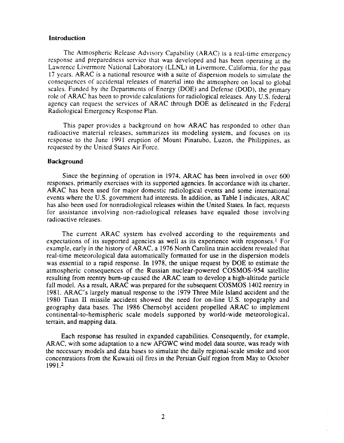## **Introduction**

The Atmospheric Release Advisory Capability (ARAC) is a real-time emergency response and preparedness service that was developed and has been operating at the Lawrence Livermore National Laboratory (LLNL) in Livennore, California, for the past 17 years. ARAC is a national resource with a suite of dispersion models to simulate the consequences of accidental releases of material into the atmosphere on local to global scales. Funded by the Departments of Energy (DOE) and Defense (DOD), the primary role of ARAC has been to provide calculations for radiological releases. Any U.S. federal agency can request the services of ARAC through DOE as delineated in the Federal Radiological Emergency Response Plan.

This paper provides a background on how ARAC has responded to other than radioactive material releases, summarizes its modeling system, and focuses on its response to the June 1991 eruption of Mount Pinatubo, Luzon. the Philippines. as requested by the United States Air Force.

### Background

Since the beginning of operation in 1974. ARAC has been involved in over 600 responses, primarily exercises with its supported agencies. In accordance with its charter, ARAC has been used for major domestic radiological events and some international events where the U.S. government had interests. In addition. as Table I indicates. ARAC has also been used for nonradiological releases within the United States. In fact. requests for assistance involving non-radiological releases have equaled those involving radioactive releases.

The current ARAC system has evolved according to the requirements and expectations of its supported agencies as well as its experience with responses.<sup>1</sup> For example. early in the history of ARAC. a 1976 North Carolina train accident revealed that real-time meteorological data automatically formatted for use in the dispersion models was essential to a rapid response. In 1978. the unique request by DOE to estimate the atmospheric consequences of the Russian nuclear-powered COSMOS-954 satellite resulting from reentry bum-up caused the ARAC team to develop a high-altitude particle fall model. As a result. ARAC was prepared for the subsequent COSMOS 1402 reentry in 1981. ARAC's largely manual response to the 1979 Three Mile Island accident and the 1980 Titan II missile accident showed the need for on-line U.S. topography and geography data bases. The 1986 Chernobyl accident propelled ARAC to implement continental-to-hemispheric scale models supported by world-wide meteorological. terrain. and mapping data.

Each response has resulted in expanded capabilities. Consequently, for example, ARAC. with some adaptation to a new AFGWC wind model data source, was ready with the necessary models and data bases to simulate the daily regional-scale smoke and soot concentrations from the Kuwaiti oil fires in the Persian Gulf region from May to October 1991.2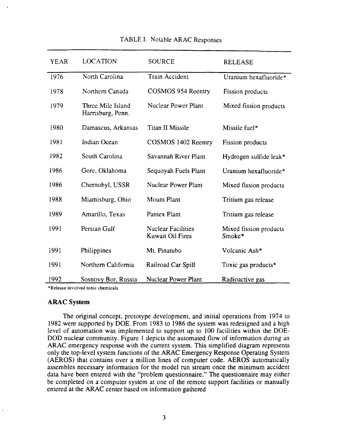| <b>YEAR</b> | <b>LOCATION</b>                        | <b>SOURCE</b>                                        | <b>RELEASE</b>                   |
|-------------|----------------------------------------|------------------------------------------------------|----------------------------------|
| 1976        | North Carolina                         | <b>Train Accident</b>                                | Uranium hexafluoride*            |
| 1978        | Northern Canada                        | COSMOS 954 Reentry                                   | Fission products                 |
| 1979        | Three Mile Island<br>Harrisburg, Penn. | <b>Nuclear Power Plant</b>                           | Mixed fission products           |
| 1980        | Damascus, Arkansas                     | <b>Titan II Missile</b>                              | Missile fuel*                    |
| 1981        | Indian Ocean                           | COSMOS 1402 Reentry                                  | Fission products                 |
| 1982        | South Carolina                         | Savannah River Plant                                 | Hydrogen sulfide leak*           |
| 1986        | Gore, Oklahoma                         | Sequoyah Fuels Plant                                 | Uranium hexafluoride*            |
| 1986        | Chernobyl, USSR                        | <b>Nuclear Power Plant</b>                           | Mixed fission products           |
| 1988        | Miamisburg, Ohio                       | Mount Plant                                          | Tritium gas release              |
| 1989        | Amarillo, Texas                        | Pantex Plant                                         | Tritium gas release              |
| 1991        | Persian Gulf                           | <b>Nuclear Facilities</b><br><b>Kuwait Oil Fires</b> | Mixed fission products<br>Smoke* |
| 1991        | Philippines                            | Mt. Pinatubo                                         | Volcanic Ash*                    |
| 1991        | Northern California                    | Railroad Car Spill                                   | Toxic gas products*              |
| 1992        | Sosnovy Bor, Russia                    | <b>Nuclear Power Plant</b>                           | Radioactive gas                  |

TABLE I. Notable ARAC Responses

\*Release involved toxic cbemicals

#### **ARAC System**

The original concept. prototype development. and initial operations from 1974 to 1982 were supported by DOE. From 1983 to 1986 the system was redesigned and a high level of automation was implemented to support up to 100 facilities within the DOE-DOD nuclear community. Figure 1 depicts the automated flow of information during an ARAC emergency response with the current system. This simplified diagram represents only the top-level system functions of the ARAC Emergency Response Operating System (AEROS) that contains over a million lines of computer code. AEROS automatically assembles necessary information for the model run stream once the minimum accident data have been entered with the "problem questionnaire." The questionnaire may either be completed on a computer system at one of the remote support facilities or manually entered at the ARAC center based on information gathered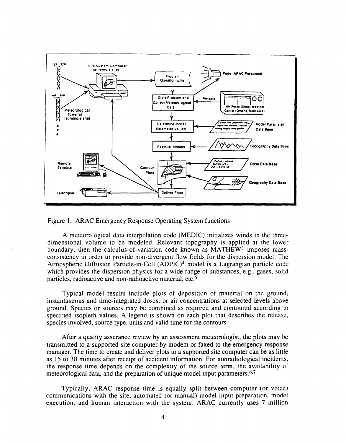

Figure 1. ARAC Emergency Response Operating System functions

A meteorological data interpolation code (MEDIC) initializes winds in the threedimensional volume to be modeled. Relevant topography is applied at the lower boundary, then the calculus-of-variation code known as MATHEW<sup>3</sup> imposes massconsistency in order to provide non-divergent flow fields for the dispersion model. The Atmospheric Diffusion Particle-in-Cell (ADPIC)<sup>4</sup> model is a Lagrangian particle code which provides the dispersion physics for a wide range of substances, e.g., gases, solid particles, radioactive and non-radioactive material, etc.<sup>5</sup>

Typical model results include plots of deposition of material on the ground, instantaneous and time-integrated doses, or air concentrations at selected levels above ground. Species or sources may be combined as required and contoured according to specified isopleth values. A legend is shown on each plot that describes the release, species involved, source type, units and valid time for the contours.

After a quality assurance review by an assessment meteorologist, the plots may be transmitted to a supported site computer by modem or faxed to the emergency response manager. The time to create and deliver plots to a supported site computer can be as little as 15 to 30 minutes after receipt of accident information. For nonradiological incidents, the response time depends on the complexity of the source term, the availability of meteorological data, and the preparation of unique model input parameters.<sup>6,7</sup>

Typically, ARAC response time is equally split between computer (or voice) communications with the site, automated (or manual) model input preparation, model execution, and human interaction with the system. ARAC currently uses 7 million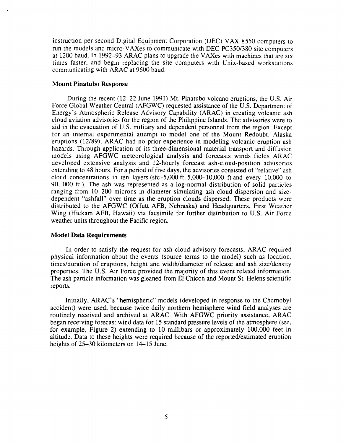instruction per second Digital Equipment Corporation (DEC) V AX 8550 computers to run the models and micro-V AXes to communicate with DEC PC350/380 site computers at 1200 baud. In 1992-93 ARAC plans to upgrade the V AXes with machines that are six times faster. and begin replacing the site computers with Unix-based workstations communicating with ARAC at 9600 baud.

### **Mount Pinatubo Response**

During the recent (12-22 June 1991) Mt. Pinatubo volcano eruptions. the U.S. Air Force Global Weather Central (AFGWC) requested assistance of the U.S. Department of Energy's Atmospheric Release Advisory Capability (ARAC) in creating volcanic ash cloud aviation advisories for the region of the Philippine Islands. The advisories were to aid in the evacuation of U.S. military and dependent personnel from the region. Except for an internal experimental attempt to model one of the Mount Redoubt. Alaska eruptions (12/89). ARAC had no prior experience in modeling volcanic eruption ash hazards. Through application of its three-dimensional material transport and diffusion models using AFGWC meteorological analysis and forecasts winds fields ARAC developed extensive analysis and 12-hourly forecast ash-cloud-position advisories extending to 48 hours. For a period of five days, the advisories consisted of "relative" ash cloud concentrations in ten layers ( $sfc-5,000$  ft,  $5,000-10,000$  ft and every 10,000 to 90, 000 ft.). The ash was represented as a log-normal distribution of solid particles ranging from 10-200 microns in diameter simulating ash cloud dispersion and sizedependent "ashfall" over time as the eruption clouds dispersed. These products were distributed to the AFGWC (Offutt AFB, Nebraska) and Headquarters, First Weather Wing (Hickam AFB, Hawaii) via facsimile for further distribution to U.S. Air Force weather units throughout the Pacific region.

#### **Model Data Requirements**

In order to satisfy the request for ash cloud advisory forecasts, ARAC required physical information about the events (source tenns to the model) such as location. times/duration of eruptions, height and width/diameter of release and ash size/density properties. The U.S. Air Force provided the majority of this event related information. The ash particle information was gleaned from El Chicon and Mount St. Helens scientific reports.

Initially, ARAC's "hemispheric" models (developed in response to the Chernobyl accident) were used, because twice daily northern hemisphere wind field analyses are routinely received and archived at ARAC. With AFGWC priority assistance. ARAC began receiving forecast wind data for 15 standard pressure levels of the atmosphere (see. for example, Figure 2) extending to 10 millibars or approximately 100,000 feet in altitude. Data to these heights were required because of the reported/estimated eruption heights of 25–30 kilometers on 14–15 June.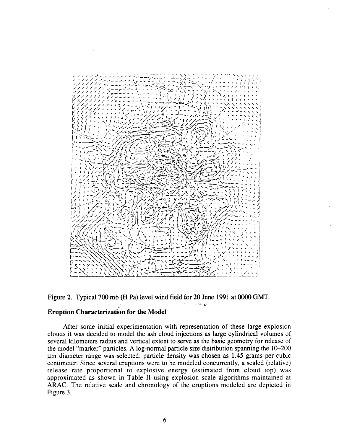



## Eruption Characterization for the Model

After some initial experimentation with representation of these large explosion clouds it was decided to model the ash cloud injections as large cylindrical volumes of several kilometers radius and vertical extent to serve as the basic geometry for release of the model "marker" particles. A log-normal particle size distribution spanning the 10-200 11m diameter range was selected; particle density was chosen as 1.45 grams per cubic centimeter. Since several eruptions were to be modeled concurrently, a scaled (relative) release rate proportional to explosive energy (estimated from cloud top) was approximated as shown in Table II using explosion scale algorithms maintained at ARAC. The relative scale and chronology of the eruptions modeled are depicted in Figure 3.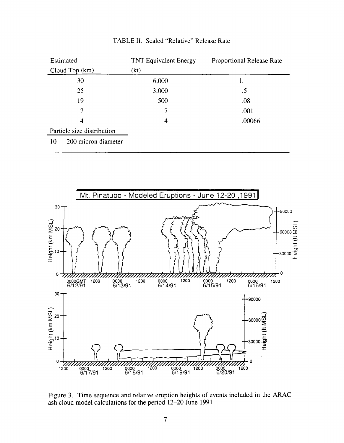| Estimated                  | <b>TNT Equivalent Energy</b> | Proportional Release Rate |  |
|----------------------------|------------------------------|---------------------------|--|
| Cloud Top (km)             | (kt)                         |                           |  |
| 30                         | 6,000                        | 1.                        |  |
| 25                         | 3,000                        | .5                        |  |
| 19                         | 500                          | .08                       |  |
| 7                          | 7                            | .001                      |  |
| 4                          | 4                            | .00066                    |  |
| Particle size distribution |                              |                           |  |
| $10 - 200$ micron diameter |                              |                           |  |

TABLE II. Scaled "Relative" Release Rate



Figure 3. Time sequence and relative eruption heights of events included in the ARAC ash cloud model calculations for the period 12-20 June 1991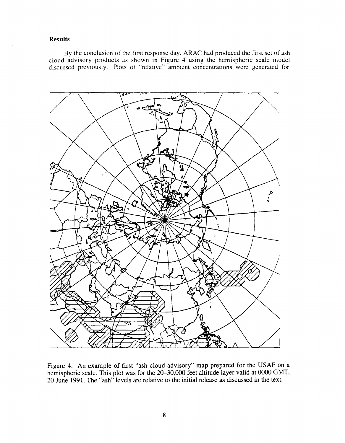# **Results**

By the conclusion of the first response day, ARAC had produced the first set of ash cloud advisory products as shown in Figure 4 using the hemispheric scale model discussed previously. Plots of "relative" ambient concentrations were generated for



Figure 4. An example of first "ash cloud advisory" map prepared for the USAF on a hemispheric scale. This plot was for the 20-30,000 feet altitude layer valid at 0000 GMT, 20 June 1991. The "ash" levels are relative to the initial release as discussed in the text.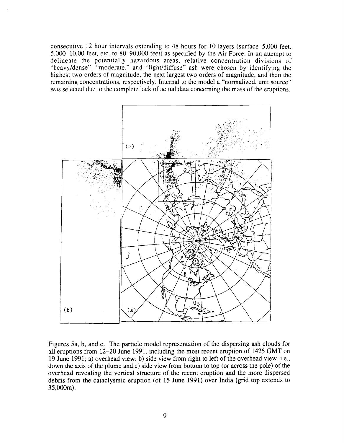consecutive 12 hour intervals extending to 48 hours for 10 layers (surface-5,OOO feet,  $5,000-10,00$  feet, etc. to  $80-90,000$  feet) as specified by the Air Force. In an attempt to delineate the potentially hazardous areas, relative concentration divisions of "heavy/dense", "moderate," and "lighUdiffuse" ash were chosen by identifying the highest two orders of magnitude, the next largest two orders of magnitude, and then the remaining concentrations, respectively. Internal to the model a "normalized, unit source" was selected due to the complete lack of actual data concerning the mass of the eruptions.



Figures *Sa,* b, and c. The particle model representation of the dispersing ash clouds for all eruptions from 12-20 June 1991, including the most recent eruption of 1425 GMT on 19 June 1991; a) overhead view; b) side view from right to left of the overhead view, i.e., down the axis of the plume and c) side view from bottom to top (or across the pole) of the overhead revealing the vertical structure of the recent eruption and the more dispersed debris from the cataclysmic eruption (of 15 June 1991) over India (grid top extends to 35,OOOm).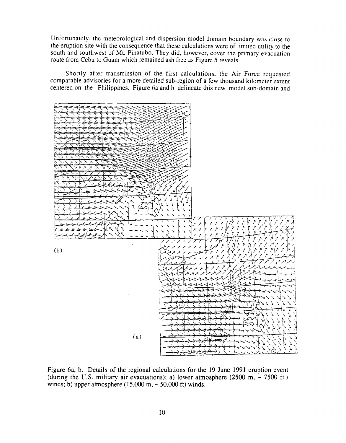Unfortunately, the meteorological and dispersion model domain boundary was close to the eruption site with the consequence that these calculations were of limited utility to the south and southwest of Mt. Pinatubo. They did, however, cover the primary evacuation route from Cebu to Guam which remained ash free as Figure 5 reveals.

Shortly after transmission of the first calculations, the Air Force requested comparable advisories for a more detailed sub-region of a few thousand kilometer extent centered on the Philippines. Figure 6a and b delineate this new model sub-domain and



Figure 6a, b. Details of the regional calculations for the 19 June 1991 eruption event (during the U.S. military air evacuations); a) lower atmosphere (2500 m,  $\sim$  7500 ft.) winds; b) upper atmosphere  $(15,000 \text{ m}, \sim 50,000 \text{ ft})$  winds.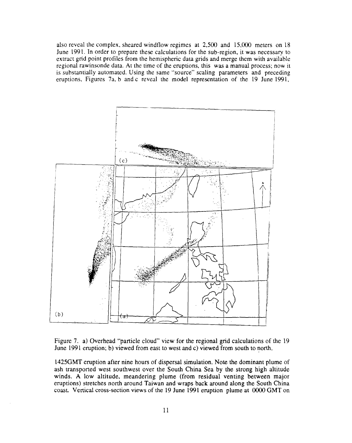also reveal the complex, sheared windflow regimes at  $2,500$  and  $15,000$  meters on 18 June 1991. In order to prepare these calculations for the sub-region, it was necessary to extract grid point profiles from the hemispheric data grids and merge them with available regional rawinsonde data. At the time of the eruptions. this was a manual process; now it is substantially automated. Using the same "source" scaling parameters and preceding eruptions, Figures 7a, b and c reveal the model representation of the 19 June 1991,



Figure 7. a) Overhead "particle cloud" view for the regional grid calculations of the 19 June 1991 eruption; b) viewed from east to west and c) viewed from south to north.

l425GMT eruption after nine hours of dispersal simulation. Note the dominant plume of ash transported west southwest over the South China Sea by the strong high altitude winds. A low altitude, meandering plume (from residual venting between major eruptions) stretches north around Taiwan and wraps back around along the South China coast. Vertical cross-section views of the 19 June 1991 eruption plume at 0000 GMT on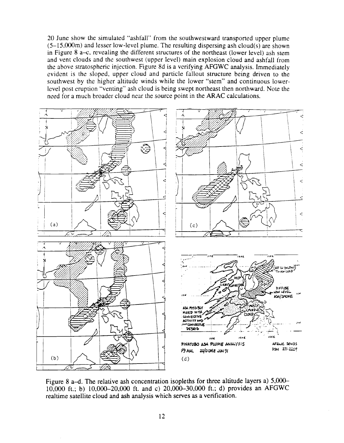20 June show the simulated "ashfall" from the southwestward transported upper plume  $(5-15,000\text{m})$  and lesser low-level plume. The resulting dispersing ash cloud(s) are shown in Figure 8 a- $c$ , revealing the different structures of the northeast (lower level) ash stem and vent clouds and the southwest (upper level) main explosion cloud and ashfall from the above stratospheric injection. Figure 8d is a verifying AFGWC analysis. Immediately evident is the sloped, upper cloud and particle fallout structure being driven to the southwest by the higher altitude winds while the lower "stem" and continuous lowerlevel post eruption "venting" ash cloud is being swept northeast then northward. Note the need for a much broader cloud near the source point in the ARAC calculations.



Figure 8 a-d. The relative ash concentration isopleths for three altitude layers a)  $5,000-$ 10,000 ft.; b) 10,000-20,000 ft. and c) 20,000-30,000 ft.; d) provides an AFGWC realtime satellite cloud and ash analysis which serves as a verification.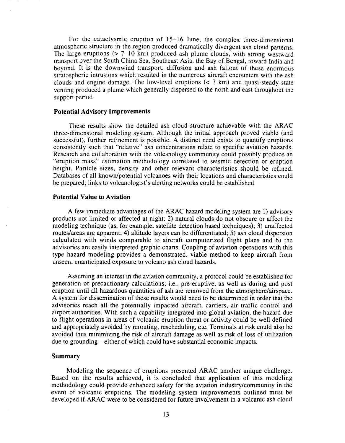For the cataclysmic eruption of 15-16 June, the complex three-dimensional atmospheric structure in the region produced dramatically divergent ash cloud patterns. The large eruptions  $(> 7-10 \text{ km})$  produced ash plume clouds, with strong westward transport over the South China Sea, Southeast Asia, the Bay of Bengal, toward India and beyond. It is the downwind transport, diffusion and ash fallout of these enormous stratospheric intrusions which resulted in the numerous aircraft encounters with the ash clouds and engine damage. The low-level eruptions  $(< 7 \text{ km})$  and quasi-steady-state venting produced a plume which generally dispersed to the north and east throughout the support period.

#### **Potential Advisory Improvements**

These results show the detailed ash cloud structure achievable with the ARAC three-dimensional modeling system. Although the initial approach proved viable (and successful), further refinement is possible. A distinct need exists to quantify eruptions consistently such that "relative" ash concentrations relate to specific aviation hazards. Research and collaboration with the volcanology community could possibly produce an "eruption mass" estimation methodology correlated to seismic detection or eruption height. Particle sizes, density and other relevant characteristics should be refined. Databases of all known/potential volcanoes with their locations and characteristics could be prepared; links to volcanologist's alerting networks could be established.

#### **Potential Value to Aviation**

A few immediate advantages of the ARAC hazard modeling system are 1) advisory products not limited or affected at night; 2) natural clouds do not obscure or affect the modeling technique (as. for example, satellite detection based techniques); 3) unaffected routes/areas are apparent; 4) altitude layers can be differentiated; 5) ash cloud dispersion calculated with winds comparable to aircraft computerized flight plans and 6) the advisories are easily interpreted graphic charts. Coupling of aviation operations with this type hazard modeling provides a demonstrated. viable method to keep aircraft from unseen. unanticipated exposure to volcano ash cloud hazards.

Assuming an interest in the aviation community. a protocol could be established for generation of precautionary calculations; i.e., pre-eruptive. as well as during and post eruption until all hazardous quantities of ash are removed from the atmosphere/airspace. A system for dissemination of these results would need to be determined in order that the advisories reach all the potentially impacted aircraft. carriers. air traffic control and airport authorities. With such a capability integrated into global aviation. the hazard due to flight operations in areas of volcanic eruption threat or activity could be well defined and appropriately avoided by rerouting, rescheduling, etc. Terminals at risk could also be avoided thus minimizing the risk of aircraft damage as well as risk of loss of utilization due to grounding-either of which could have substantial economic impacts.

#### **Summary**

Modeling the sequence of eruptions presented ARAC another unique challenge. Based on the results achieved. it is concluded that application of this modeling methodology could provide enhanced safety for the aviation industry/community in the event of volcanic eruptions. The modeling system improvements outlined must be developed if ARAC were to be considered for future involvement in a volcanic ash cloud